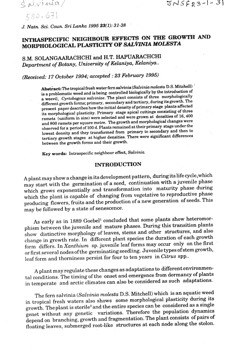$S$  alvinia/  $589.671$ 

*J. Natn. Sci. Coun. Sri* **Lanka 1995 23(1): 31-38** 

# **INTRASPECIFIC NEIGHBOUR EFFECTS ON THE GROWTIH AND MORPHOLOGICAL PLASTICITY OF SALVINIA MOLESTA**

S.M. SOLANGAARACHCHI and H.T. **HAPUARACHCHl**  Department of Botany, University of Helaniya, Kelaniya..

(Received: 17 October 1994; accepted : 23 February 1995)

 $\bf A$ bstract: The tropical fresh water fern salvinia (Salvinia molesta D.S. Mitchell) is a problematic weed and is being controlled biologically by the introduction of a weevil, Cyrtobagous salviniae. The plant consists of three morphologically different growth forms; primary, secondary and tertiary, duringitsgrowth. The present paper describes how the initial density of primary stage plants affected its morphological plasticity. Primary stage apical cuttings consisting of three ramets (uniform in size) were selected and were **grown at** densities of 16,400 and 800 ramets per square metre. The growth and morphological changes were observed for a period of 100 d. Plants remained at their primary stage under the lowest density and they transformed from primary to secondary and then to west density and they transidimed from primary to secondary the contract of the stage of higher densities. There were significant differences rtiary growth stages at night densities.

Key **words:** Intraspecific neighbour effect, Salvinia.

# **INTRODUCTION**

**A** plant may show a change in its development pattern, during its life cycle,which may start with the germination of a seed, continuation with a juvenile phase which grows exponentially and transformation into maturity phase during which the plant is capable of changing from vegetative to reproductive phase producing flowers, fruits and the production of a new generation of seeds. This may be followed by a state of senescence.

As early as in 1889 Goebel<sup>1</sup> concluded that some plants show heteromorphism between the juvenile and mature phases. During this transition plants show distinctive morphology of leaves, stems and other structures, and also change in growth rate. In different plant species the duration of each growth form differs. In Xanthium sp. juvenile leaf forms may occur only on the first or first several nodes of the germinating seedling; Juvenile types of stem growth, leaf form and thorniness persist for four to ten years in Citrus spp..

**'A** plant may regulate these changes as adaptations to different environmental conditions. The timing of the onset and emergence from dormancy of plants in temperate and arctic climates can also be considered as such adaptations.

The fern salvinia (Salvinia molesta D.S. Mitchell) which is an aquatic weed in tropical fresh waters also shows some morphological plasticity during its growth. The plant is sterile<sup>2</sup> and the entire species can be considered as a single genet without any genetic variations. Therefore the population dynamics depend on branching, growth and fragmentation. The plant consists of pairs of floating leaves, submerged root-like structures at each node along the stolon.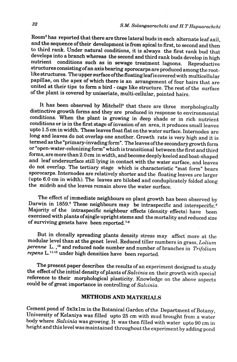Room3 has reported that there are three lateral buds in each alternate leaf axil, and the sequence of their development is from apical to **first,** to second and then to third rank. Under natural conditions, it is always the first rank bud that develops into a branch whereas the second and third rank buds develop in high nutrient conditions such as in sewage treatment lagoons. Reproductive structures consisting of an axis bearing sporocarps are produced among the rootlike structures. The upper surface ofthe floating leaf is covered with multicellular papillae, on the apex of which there is an arrangement of four hairs that are united at their tips to form a bird - cage like structure. The rest of the surface of the plant is covered by uniseriate, multi-cellular, pointed hairs.

It has been observed by Mitchell<sup>4</sup> that there are three morphologically distinctive growth forms and they are produced in response to environmental conditions. When the plant is growing in deep shade or in rich nutrient conditions or is in the first stage of invasion of an area, it produces small leaves upto 1.5 cm in width. These leaves float flat on the water surface. Internodes are long and leaves do not overlap one another. Growth rate is very high and it is termed as the "primary-invading form". The leaves ofthe secondary growth form or **uopen-water-colonizingform"** which is transitional between the first and third forms, are more than 2.0 cm in width, and become deeply keeled and boat-shaped and leaf undersurface still lying in contact with the water surface, and leaves do not overlap. The tertiary stage which is characteristic "mat form" bears sporocarps. Internodes are relatively shorter and the floating leaves are larger (upto 6.0 cm in width). The leaves are bilobed and conduplicately folded along the midrib and the leaves remain above the water surface.

The effect of immediate neighbours on plant growth has been observed by Darwin in 1859.<sup>5</sup> These neighbours may be intraspecific and interspecific.<sup>6</sup> Majority of the intraspecific neighbour effects (density effects) have been exercised with plants of single upright stems and the mortality and reduced size of surviving genets have been reported.<sup>7-9</sup>

But in clonally spreading plants density stress may affect'more at the modular level than at the genet level. Reduced tiller numbers in grass, *Lolium perenne* L. **,lo** and reduced node number and number of branches in *Trifolium repens* **L.ll-la** under high densities have been reported.

The present paper describes the results of an experiment designed to study the effect of the initial density of plants of *Salvinia* on their growth with special reference to their morphological plasticity. Knowledge on the above aspects could be of great importance in controlling of *Saloin'ia.* 

# **METHODS AND MATERLqLS**

Cement pond of 5x3xlm in the Botanical Garden of the Department of Botany, University of Kelaniya was filled upto **.25** cm with mud brought from a water body where *Salvinia* was growing. It was then filled with water upto 90 cm in height and this level was maintained throughout the experiment by adding pond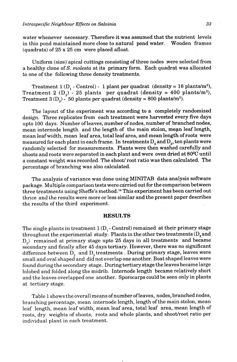#### *1n.traspecific Neighbour Efects on Salviniu*

water whenever necessary. Therefore it was assumed that the nutrient levels in this pond maintained more close to natural pond water. Wooden frames (quadrats) of 25 x 25 cm were placed afloat.

Uniform (size) apical cuttings consisting of three nodes were selected from a healthy clone of S. *molesta* at its primary form. Each quadrat was allocated to one of the following three density treatments.

Treatment 1 (D<sub>1</sub> - Control) - 1 plant per quadrat (density = 16 plants/m<sup>2</sup>), Treatment 2  $(D_0)$  - 25 plants per quadrat (density = 400 plants/m<sup>2</sup>), Treatment 3  $(D_2)$  - 50 plants per quadrat (density = 800 plants/m<sup>2</sup>).

The layout of the experiment was according to a completely randomized design. Three replicates from each treatment were harvested every five days upto 100 days. Number of leaves, number of nodes, number of branched nodes, mean internode length and the length of the main stolon, mean leaf length, mean leaf width, mean leaf area, total leaf area, and mean length of roots were measured for each plant in each frame. In treatments  $D<sub>2</sub>$  and  $D<sub>3</sub>$ , ten plants were randomly selected for measurements. Plants were then washed carefully and shoots and roots were separated in each plant and were oven dried at **80%** until a constant weight was recorded. The shoot/ root ratio was then calculated. The percentage of branching was also calculated.

The analysis of variance was done using MINITAB data analysis software package. Multiple comparison tests were cairied out for the comparison between three treatments using Sheffe's method.14 This experiment has been carried out thrice and the results were more or less similar and the present paper describes the results of the third experiment.

#### **RESULTS**

The single plants in treatment  $1$  (D<sub>1</sub> - Control) remained at their primary stage throughout the experimental study. Plants in the other two treatments ( $\mathrm{D}_\mathrm{z}$  and **D,)** remained at primary stage upto 25 days in all. treatments and became secondary and finally after 45 days tertiary. However, there was no significant difference between  $D_2$  and  $D_3$  treatments . During primary stage, leaves were small and oval shaped and did not overlap one another. Boat shaped leaves were found during the secondary stage. During tertiary stage the leaves became large bilobed and folded along the midrib. Internode length became relatively short and the leaves overlapped one another. Sporocarps could be seen only in plants at tertiary stage.

Table 1 shows the overall means of number of leaves, nodes, branched nodes, branching percentage, mean internode length, length of the main stolon, mean leaf length, mean leaf width, mean leaf area, total leaf area, mean length of roots, dry weights of shoots, roots and whole plants, and shoot/root ratio per individual plant in each treatment.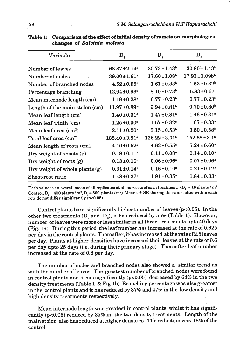| Variable                        | $D_{1}$                        | $D_{2}$                      | $D_{3}$                       |
|---------------------------------|--------------------------------|------------------------------|-------------------------------|
| Number of leaves                | $68.87 \pm 2.14$ <sup>a</sup>  | $30.73 \pm 1.43^b$           | $30.80 \pm 1.43$ <sup>b</sup> |
| Number of nodes                 | $39.00 \pm 1.61$ <sup>a</sup>  | $17.60 \pm 1.08^b$           | $17.93 \pm 1.09 b^b$          |
| Number of branched nodes        | $4.52 \pm 0.55^{\circ}$        | $1.61 \pm 0.33^b$            | $1.53 \pm 0.32$ <sup>b</sup>  |
| Percentage branching            | $12.94 \pm 0.93$ <sup>a</sup>  | $8.10 \pm 0.73$ <sup>b</sup> | $6.83 \pm 0.67$ <sup>c</sup>  |
| Mean internode length (cm)      | $1.19 \pm 0.28$ <sup>a</sup>   | $0.77 \pm 0.23^{\rm b}$      | $0.77 \pm 0.23^b$             |
| Length of the main stolon (cm)  | $11.97 \pm 0.89^{\circ}$       | $9.94 \pm 0.81$ <sup>b</sup> | $9.70 \pm 0.80$ <sup>b</sup>  |
| Mean leaf length (cm)           | $1.40 \pm 0.31$ <sup>a</sup>   | $1.47 \pm 0.31$ a            | $1.46 \pm 0.31$ <sup>a</sup>  |
| Mean leaf width (cm)            | $1.25 \pm 0.30^a$              | $1.57 \pm 0.32$ <sup>a</sup> | $1.67 \pm 0.33^a$             |
| Mean leaf area $(cm2)$          | $2.11 \pm 0.20^a$              | $3.15 \pm 0.53^b$            | $3.50 \pm 0.58$ <sup>b</sup>  |
| Total leaf area $\text{(cm}^2)$ | $185.40 \pm 3.51$ <sup>a</sup> | $136.22 \pm 3.01^a$          | $152.68 \pm 3.1^{\circ}$      |
| Mean length of roots (cm)       | $4.10 \pm 0.52$ <sup>a</sup>   | $4.62 \pm 0.55^{\circ}$      | $5.24 \pm 0.60$ <sup>a</sup>  |
| Dry weight of shoots $(g)$      | $0.19 \pm 0.11$ <sup>a</sup>   | $0.11 \pm 0.08$ <sup>a</sup> | $0.14 \pm 0.10^a$             |
| Dry weight of roots $(g)$       | $0.13 \pm 0.10^a$              | $0.06 \pm 0.06$ <sup>a</sup> | $0.07 \pm 0.06^a$             |
| Dry weight of whole plants (g)  | $0.31 \pm 0.14$ <sup>a</sup>   | $0.16 \pm 0.10^a$            | $0.21 \pm 0.12$ <sup>a</sup>  |
| Shoot/root ratio                | $1.48 \pm 0.37$ a              | $1.91 \pm 0.35$ <sup>a</sup> | $1.84 \pm 0.33^{\rm a}$       |

**Table 1: Comparison of the effect of initial density of ramets on morphological changes of** *Salvinia molesta.* 

Each value is an overall mean of all replicates at all harvests of each treatment.  $(D_1 = 16$  plants / m<sup>2</sup> Control,  $D_0 = 400$  plants/m<sup>2</sup>,  $D_3 = 800$  plants/m<sup>2</sup>). Means  $\pm$  SE sharing the same letter within each row do not differ significantly (p<0.05).

Control plants bore significantly highest number of leaves (p<0.05). In the other two treatments **(D,** and 'D,), it has reduced by **55%** (Table 1). However, number of leaves were more or less similar in all three treatments upto 40 days (Fig. la). During this period the leaf number has increased at the rate of 0.625 per day in the control plants. Thereafter, it has increased at the rate of **2.5** leaves per day. Plants at higher densities have increased their leaves at the rate of 0.6 per day upto **25** days (i.e. during their primary stage). Thereafter leaf number increased at the rate of 0.8 per day.

The number of nodes and branched nodes also showed a similar trend as with the number of leaves. The greatest number of branched nodes were found in control plants and it has significantly  $(p<0.05)$  decreased by 64% in the two density treatments (Table 1 & Fig. 1b). Branching percentage was also greatest in the control plants and it has reduced by 37% and 47% in the low density and high density treatments respectively.

Mean internode length was greatest in control plants whilst it has significantly ( $p<0.05$ ) reduced by 35% in the two density treatments. Length of the main stolon also has reduced at higher densities. The reduction was 18%.of the control.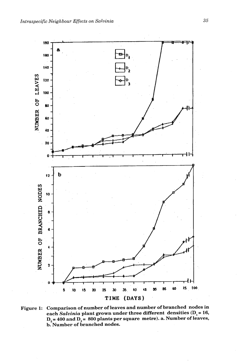

**Figure 1: Comparison of number of leaves and number of branched nodes in each** *Salvinia* **plant grown under three different densities (D,** = **16,**   $D_2 = 400$  and  $D_3 = 800$  plants per square metre). a. Number of leaves, **b. Number of branched nodes.**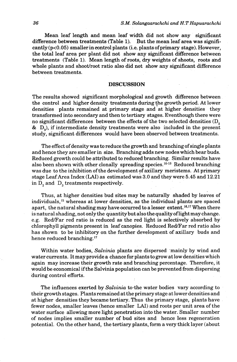Mean leaf length and mean leaf width did not show any significant difference between treatments (Table **1).** But the mean leaf area was signifi- $\text{cantly}$  ( $p<0.05$ ) smaller in control plants (i.e. plants of primary stage). However, the total leaf area per plant did not show any significant difference between treatments (Table 1). Mean length of roots, dry weights of shoots, roots aad whole plants and shoot/root ratio also did not show any significant difference between treatments.

# **DISCUSSION**

The results showed significant morphological and growth difference between the control and higher density treatments during the growth period. At lower densities plants remained at primary stage and at higher densities they transformed into secondary and then to tertiary stages. Eventhough there were no significant differences between the effects of the two selected densities (D,  $\&$  D<sub>a</sub>), if intermediate density treatments were also included in the present study, significant differences would have been observed between treatments.

The effect of density was to reduce the growth and branching of single plants and hence they are smaller in size. Branching adds new nodes which bear buds. Reduced growth could be attributed to reduced branching. Similar results have also been shown with other clonally spreading species.<sup>10-13</sup> Reduced branching was due to the inhibition of the development of axillary meristems. At primary stage Leaf Area Index **(LAI)** as estimated was 3.0 and they were 5.45 and **12.21**  in  $D_2$  and  $D_3$  treatments respectively.

Thus, at higher densities bud sites may be naturally shaded by leaves of individuals,15 whereas at lower densities, as the individual plants are spaced apart, the natural shading may have occurred to a lesser extent.<sup>16,17</sup> When there is natural shading, not only the quantity but also the quality oflightmay change. e.g. Red/Far red ratio is reduced as the red light is selectively absorbed bychlorophyll pigments present in leaf canopies. Reduced Red/Far red ratio also has shown to be inhibitory on the further development of axillary buds and hence reduced branching.17

Within water bodies, *Salvinia* plants are dispersed 'mainly by wind and water currents. It may provide a chance for plants to grow at low densities which again may increase their growth rate and branching percentage. Therefore, it would be economical if the Salvinia population can be prevented from dispersing during control efforts.

The influences exerted by *Salvinia* to-the water bodies vary according to their growth stages. Plants remained at the primary stage at lower densities and at higher densities they became tertiary. Thus the primary stage, plants have fewer nodes, smaller leaves (hence smaller LAI) and roots per unit area of the water surface allowing more light penetration into the water. Smaller number of nodes implies smaller number of bud sites and hence less regeneration potential. On the other hand, the tertiary plants, form a very thick layer (about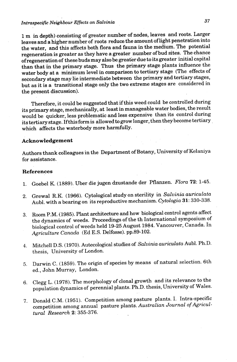1 m in depth) consisting of greater number of nodes, leaves and roots. Larger leaves and a higher number of roots reduce the amount of light penetration into the water, **and** this affects both flora and fauna in the medium. The potential regeneration is greater as they have a greater number of bud sites. The chance of regeneration of these buds may also be greatkr due to its greater initial capital than that in the primary stage. Thus the primary stage plants influence the water body at a minimum level in comparison to tertiary stage (The effects of secondary stage may lie intermediate between the primary **and** tertiary stages, but as it is a transitional stage only the two extreme stages are considered in the present discussion).

Therefore, it could be suggested that if this weed could be controlled during its primary stage, mechanically, at least in manageable water bodies, the result would be quicker, less problematic and less expensive than its control during its tertiary stage. Ifthis form is allowed to grow longer, then they become tertiary . which affects the waterbody more harmfully.

### **Acknowledgement**

Authors thank colleagues in the Department of Botany, University of Kelaniya for assistance.

# **References**

- 1. Goebel K. (1889), Uber die jugen dzustande der Pflanzen. *Flora* 72: 1-45.
- 2. Grewal R.K. (1966). Cytological study on sterility in *Salvinia auriculata*  Aubl. with *a* bearing on its reproductive mechanism. *Cytologia* 31: 330-338.
- 3. Room P.M. (1985). Plant architecture and how biological control agents affect the dynamics of weeds. Proceedings of the th International symposium of biological control of weeds held 19-25 August 1984. Vancouver, Canada. In *Agriculture Canada* (Ed E.S. Delfosse). pp.89-102.
- 4. Mitchell **D.S.** (1970). Autecological studies of *Salvinia auriculata* Aubl. Ph.D. thesis, University of London.
- 5. Darwin C. (1859). The origin of species by means of natural selection. 6th ed., John Murray, London.
- **6.** Clegg L. (1978). The morphology of clonal growth and its relevance to the population dynamics of perennial plants. Ph.D. thesis, University of Wales.
- 7. Donald C.M. (1951). Competition among pasture plants. I. Intra-specific competition among annual pasture plants. *Australian Journal of Agricultural Research 2:* 355-376.